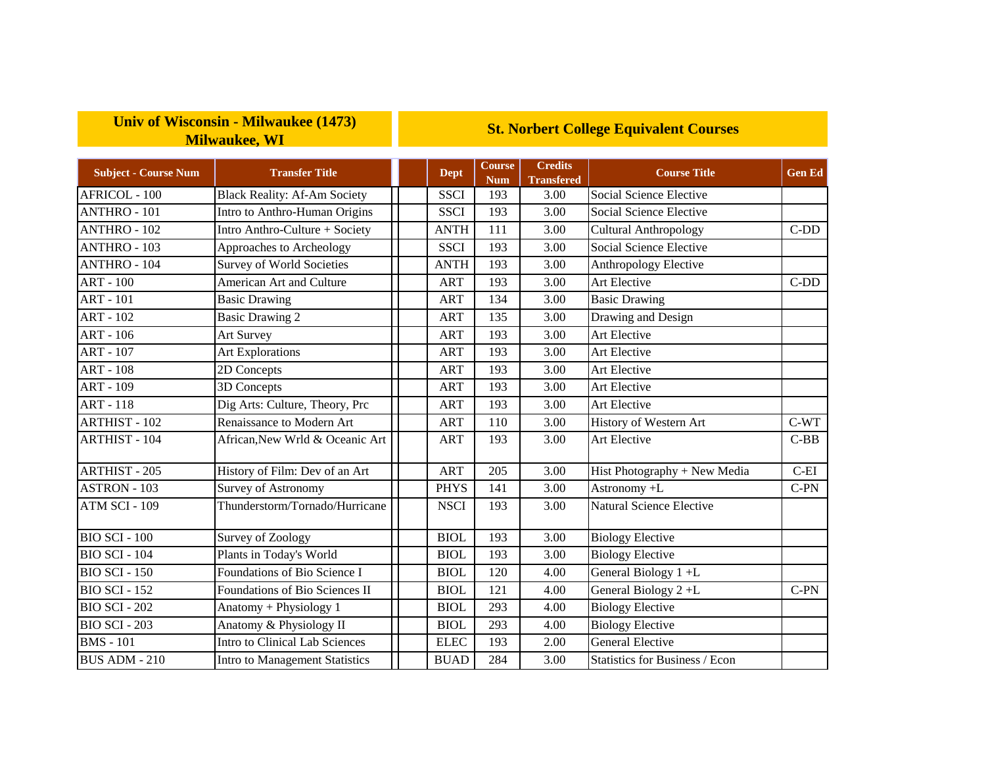## **Univ of Wisconsin - Milwaukee (1473) Milwaukee, WI**

## **St. Norbert College Equivalent Courses**

| <b>Subject - Course Num</b> | <b>Transfer Title</b>               | <b>Dept</b> | <b>Course</b><br><b>Num</b> | <b>Credits</b><br><b>Transfered</b> | <b>Course Title</b>          | <b>Gen Ed</b> |
|-----------------------------|-------------------------------------|-------------|-----------------------------|-------------------------------------|------------------------------|---------------|
| AFRICOL - 100               | <b>Black Reality: Af-Am Society</b> | <b>SSCI</b> | 193                         | 3.00                                | Social Science Elective      |               |
| <b>ANTHRO - 101</b>         | Intro to Anthro-Human Origins       | <b>SSCI</b> | 193                         | 3.00                                | Social Science Elective      |               |
| <b>ANTHRO - 102</b>         | Intro Anthro-Culture + Society      | <b>ANTH</b> | 111                         | 3.00                                | <b>Cultural Anthropology</b> | $C-DD$        |
| ANTHRO - 103                | Approaches to Archeology            | <b>SSCI</b> | 193                         | 3.00                                | Social Science Elective      |               |
| <b>ANTHRO - 104</b>         | <b>Survey of World Societies</b>    | <b>ANTH</b> | 193                         | 3.00                                | Anthropology Elective        |               |
| <b>ART - 100</b>            | American Art and Culture            | <b>ART</b>  | 193                         | 3.00                                | Art Elective                 | $C-DD$        |
| <b>ART - 101</b>            | <b>Basic Drawing</b>                | <b>ART</b>  | 134                         | 3.00                                | <b>Basic Drawing</b>         |               |
| <b>ART - 102</b>            | <b>Basic Drawing 2</b>              | <b>ART</b>  | 135                         | 3.00                                | Drawing and Design           |               |
| ART - 106                   | Art Survey                          | <b>ART</b>  | 193                         | 3.00                                | Art Elective                 |               |
| <b>ART - 107</b>            | <b>Art Explorations</b>             | <b>ART</b>  | 193                         | 3.00                                | <b>Art Elective</b>          |               |
| <b>ART - 108</b>            | 2D Concepts                         | <b>ART</b>  | 193                         | 3.00                                | Art Elective                 |               |
| ART - 109                   | 3D Concepts                         | <b>ART</b>  | 193                         | 3.00                                | Art Elective                 |               |
| <b>ART - 118</b>            | Dig Arts: Culture, Theory, Prc      | <b>ART</b>  | 193                         | 3.00                                | Art Elective                 |               |
| <b>ARTHIST - 102</b>        | Renaissance to Modern Art           | <b>ART</b>  | 110                         | 3.00                                | History of Western Art       | $C-WT$        |
| <b>ARTHIST - 104</b>        | African, New Wrld & Oceanic Art     | <b>ART</b>  | 193                         | 3.00                                | Art Elective                 | $C-BB$        |
| <b>ARTHIST - 205</b>        | History of Film: Dev of an Art      | <b>ART</b>  | 205                         | 3.00                                | Hist Photography + New Media | $C$ -EI       |
| ASTRON - 103                | Survey of Astronomy                 | <b>PHYS</b> | 141                         | 3.00                                | Astronomy +L                 | $C-PN$        |
| ATM SCI - 109               | Thunderstorm/Tornado/Hurricane      | <b>NSCI</b> | 193                         | 3.00                                | Natural Science Elective     |               |

BIO SCI - 100 Survey of Zoology **BIOL** 193 3.00 Biology Elective BIO SCI - 104 Plants in Today's World | BIOL 193 3.00 Biology Elective BIO SCI - 150 Foundations of Bio Science I | | BIOL | 120 | 4.00 General Biology 1 +L

BIO SCI - 202 Anatomy + Physiology 1 | | BIOL 293 4.00 Biology Elective BIO SCI - 203 Anatomy & Physiology II BIOL 293 4.00 Biology Elective BMS - 101 Intro to Clinical Lab Sciences | | | ELEC | 193 | 2.00 General Elective

BUS ADM - 210 Intro to Management Statistics | BUAD 284 3.00 Statistics for Business / Econ

BIO SCI - 152 Foundations of Bio Sciences II | | BIOL | 121 | 4.00 General Biology 2 +L | C-PN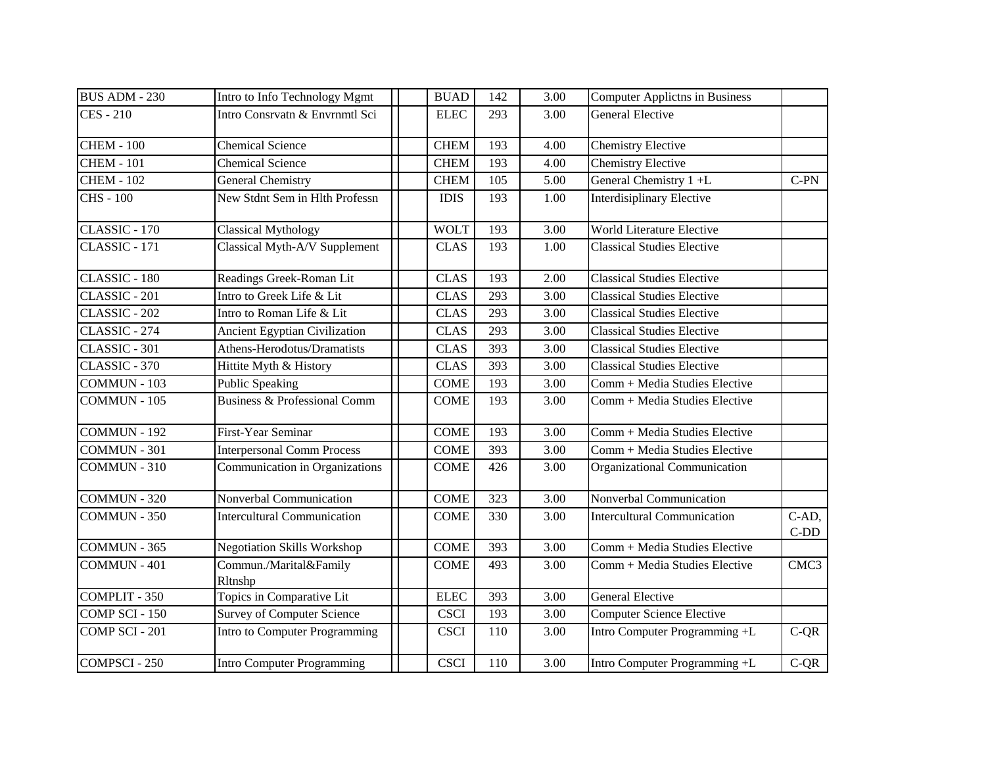| <b>BUS ADM - 230</b>   | Intro to Info Technology Mgmt           | <b>BUAD</b> | 142 | 3.00              | <b>Computer Applictns in Business</b> |                  |
|------------------------|-----------------------------------------|-------------|-----|-------------------|---------------------------------------|------------------|
| <b>CES</b> - 210       | Intro Consrvatn & Envrnmtl Sci          | <b>ELEC</b> | 293 | 3.00              | <b>General Elective</b>               |                  |
|                        |                                         |             |     |                   |                                       |                  |
| <b>CHEM - 100</b>      | <b>Chemical Science</b>                 | <b>CHEM</b> | 193 | 4.00              | <b>Chemistry Elective</b>             |                  |
| <b>CHEM - 101</b>      | <b>Chemical Science</b>                 | <b>CHEM</b> | 193 | 4.00              | <b>Chemistry Elective</b>             |                  |
| CHEM - $102$           | <b>General Chemistry</b>                | <b>CHEM</b> | 105 | 5.00              | General Chemistry 1+L                 | $C-PN$           |
| $\overline{CHS}$ - 100 | New Stdnt Sem in Hlth Professn          | <b>IDIS</b> | 193 | 1.00              | <b>Interdisiplinary Elective</b>      |                  |
| CLASSIC - 170          | <b>Classical Mythology</b>              | <b>WOLT</b> | 193 | 3.00              | <b>World Literature Elective</b>      |                  |
| CLASSIC - 171          | Classical Myth-A/V Supplement           | <b>CLAS</b> | 193 | 1.00              | <b>Classical Studies Elective</b>     |                  |
| CLASSIC - 180          | Readings Greek-Roman Lit                | <b>CLAS</b> | 193 | 2.00              | <b>Classical Studies Elective</b>     |                  |
| CLASSIC - 201          | Intro to Greek Life & Lit               | <b>CLAS</b> | 293 | 3.00              | <b>Classical Studies Elective</b>     |                  |
| CLASSIC - 202          | Intro to Roman Life & Lit               | <b>CLAS</b> | 293 | 3.00              | <b>Classical Studies Elective</b>     |                  |
| CLASSIC - 274          | Ancient Egyptian Civilization           | <b>CLAS</b> | 293 | 3.00              | <b>Classical Studies Elective</b>     |                  |
| CLASSIC - 301          | Athens-Herodotus/Dramatists             | <b>CLAS</b> | 393 | 3.00              | <b>Classical Studies Elective</b>     |                  |
| CLASSIC - 370          | Hittite Myth & History                  | <b>CLAS</b> | 393 | 3.00              | <b>Classical Studies Elective</b>     |                  |
| $COMMUN - 103$         | <b>Public Speaking</b>                  | <b>COME</b> | 193 | 3.00              | Comm + Media Studies Elective         |                  |
| COMMUN - 105           | <b>Business &amp; Professional Comm</b> | <b>COME</b> | 193 | 3.00              | Comm + Media Studies Elective         |                  |
| COMMUN - 192           | First-Year Seminar                      | <b>COME</b> | 193 | 3.00              | Comm + Media Studies Elective         |                  |
| <b>COMMUN - 301</b>    | <b>Interpersonal Comm Process</b>       | <b>COME</b> | 393 | 3.00              | Comm + Media Studies Elective         |                  |
| COMMUN - 310           | Communication in Organizations          | <b>COME</b> | 426 | 3.00              | Organizational Communication          |                  |
| COMMUN - 320           | Nonverbal Communication                 | <b>COME</b> | 323 | $\overline{3.00}$ | Nonverbal Communication               |                  |
| COMMUN - 350           | <b>Intercultural Communication</b>      | <b>COME</b> | 330 | 3.00              | <b>Intercultural Communication</b>    | C-AD,            |
|                        |                                         |             |     |                   |                                       | $C-DD$           |
| COMMUN - 365           | <b>Negotiation Skills Workshop</b>      | <b>COME</b> | 393 | 3.00              | Comm + Media Studies Elective         |                  |
| COMMUN-401             | Commun./Marital&Family<br>Rltnshp       | <b>COME</b> | 493 | 3.00              | Comm + Media Studies Elective         | CMC <sub>3</sub> |
| COMPLIT - 350          | Topics in Comparative Lit               | <b>ELEC</b> | 393 | 3.00              | General Elective                      |                  |
| COMP SCI - 150         | <b>Survey of Computer Science</b>       | <b>CSCI</b> | 193 | 3.00              | <b>Computer Science Elective</b>      |                  |
| COMP SCI - 201         | Intro to Computer Programming           | <b>CSCI</b> | 110 | 3.00              | Intro Computer Programming +L         | $C-QR$           |
| <b>COMPSCI</b> - 250   | <b>Intro Computer Programming</b>       | <b>CSCI</b> | 110 | 3.00              | Intro Computer Programming +L         | $C-QR$           |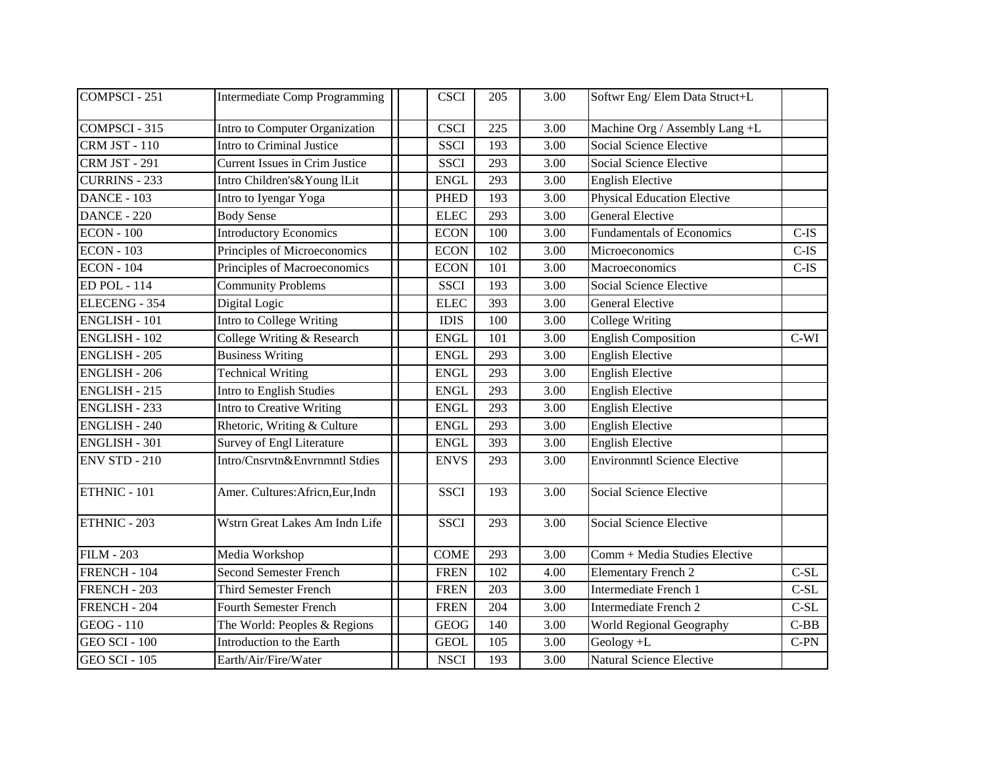| COMPSCI - 251        | <b>Intermediate Comp Programming</b> | <b>CSCI</b> | 205 | 3.00 | Softwr Eng/ Elem Data Struct+L      |         |
|----------------------|--------------------------------------|-------------|-----|------|-------------------------------------|---------|
| COMPSCI-315          | Intro to Computer Organization       | <b>CSCI</b> | 225 | 3.00 | Machine Org / Assembly Lang +L      |         |
| <b>CRM JST - 110</b> | Intro to Criminal Justice            | <b>SSCI</b> | 193 | 3.00 | <b>Social Science Elective</b>      |         |
| <b>CRM JST - 291</b> | Current Issues in Crim Justice       | <b>SSCI</b> | 293 | 3.00 | Social Science Elective             |         |
| <b>CURRINS - 233</b> | Intro Children's& Young lLit         | <b>ENGL</b> | 293 | 3.00 | <b>English Elective</b>             |         |
| DANCE - 103          | Intro to Iyengar Yoga                | <b>PHED</b> | 193 | 3.00 | <b>Physical Education Elective</b>  |         |
| <b>DANCE - 220</b>   | <b>Body Sense</b>                    | <b>ELEC</b> | 293 | 3.00 | <b>General Elective</b>             |         |
| <b>ECON - 100</b>    | <b>Introductory Economics</b>        | <b>ECON</b> | 100 | 3.00 | <b>Fundamentals of Economics</b>    | $C-IS$  |
| <b>ECON - 103</b>    | Principles of Microeconomics         | <b>ECON</b> | 102 | 3.00 | Microeconomics                      | $C$ -IS |
| <b>ECON - 104</b>    | Principles of Macroeconomics         | <b>ECON</b> | 101 | 3.00 | Macroeconomics                      | $C$ -IS |
| <b>ED POL - 114</b>  | <b>Community Problems</b>            | <b>SSCI</b> | 193 | 3.00 | Social Science Elective             |         |
| ELECENG - 354        | Digital Logic                        | <b>ELEC</b> | 393 | 3.00 | <b>General Elective</b>             |         |
| ENGLISH - 101        | Intro to College Writing             | <b>IDIS</b> | 100 | 3.00 | College Writing                     |         |
| <b>ENGLISH - 102</b> | College Writing & Research           | <b>ENGL</b> | 101 | 3.00 | <b>English Composition</b>          | $C-WI$  |
| <b>ENGLISH - 205</b> | <b>Business Writing</b>              | <b>ENGL</b> | 293 | 3.00 | <b>English Elective</b>             |         |
| <b>ENGLISH - 206</b> | <b>Technical Writing</b>             | <b>ENGL</b> | 293 | 3.00 | <b>English Elective</b>             |         |
| <b>ENGLISH - 215</b> | Intro to English Studies             | <b>ENGL</b> | 293 | 3.00 | <b>English Elective</b>             |         |
| <b>ENGLISH - 233</b> | <b>Intro to Creative Writing</b>     | <b>ENGL</b> | 293 | 3.00 | <b>English Elective</b>             |         |
| <b>ENGLISH - 240</b> | Rhetoric, Writing & Culture          | <b>ENGL</b> | 293 | 3.00 | <b>English Elective</b>             |         |
| <b>ENGLISH - 301</b> | <b>Survey of Engl Literature</b>     | <b>ENGL</b> | 393 | 3.00 | <b>English Elective</b>             |         |
| <b>ENV STD - 210</b> | Intro/Cnsrvtn&Envrnmntl Stdies       | <b>ENVS</b> | 293 | 3.00 | <b>Environmntl Science Elective</b> |         |
| ETHNIC - 101         | Amer. Cultures: Africn, Eur, Indn    | <b>SSCI</b> | 193 | 3.00 | Social Science Elective             |         |
| ETHNIC - 203         | Wstrn Great Lakes Am Indn Life       | <b>SSCI</b> | 293 | 3.00 | Social Science Elective             |         |
| <b>FILM - 203</b>    | Media Workshop                       | <b>COME</b> | 293 | 3.00 | Comm + Media Studies Elective       |         |
| FRENCH - 104         | <b>Second Semester French</b>        | <b>FREN</b> | 102 | 4.00 | <b>Elementary French 2</b>          | $C-SL$  |
| FRENCH - 203         | <b>Third Semester French</b>         | <b>FREN</b> | 203 | 3.00 | Intermediate French 1               | $C-SL$  |
| FRENCH - 204         | <b>Fourth Semester French</b>        | <b>FREN</b> | 204 | 3.00 | Intermediate French 2               | $C-SL$  |
| <b>GEOG</b> - 110    | The World: Peoples & Regions         | <b>GEOG</b> | 140 | 3.00 | World Regional Geography            | $C-BB$  |
| <b>GEO SCI - 100</b> | Introduction to the Earth            | <b>GEOL</b> | 105 | 3.00 | Geology +L                          | $C-PN$  |
| <b>GEO SCI - 105</b> | Earth/Air/Fire/Water                 | <b>NSCI</b> | 193 | 3.00 | <b>Natural Science Elective</b>     |         |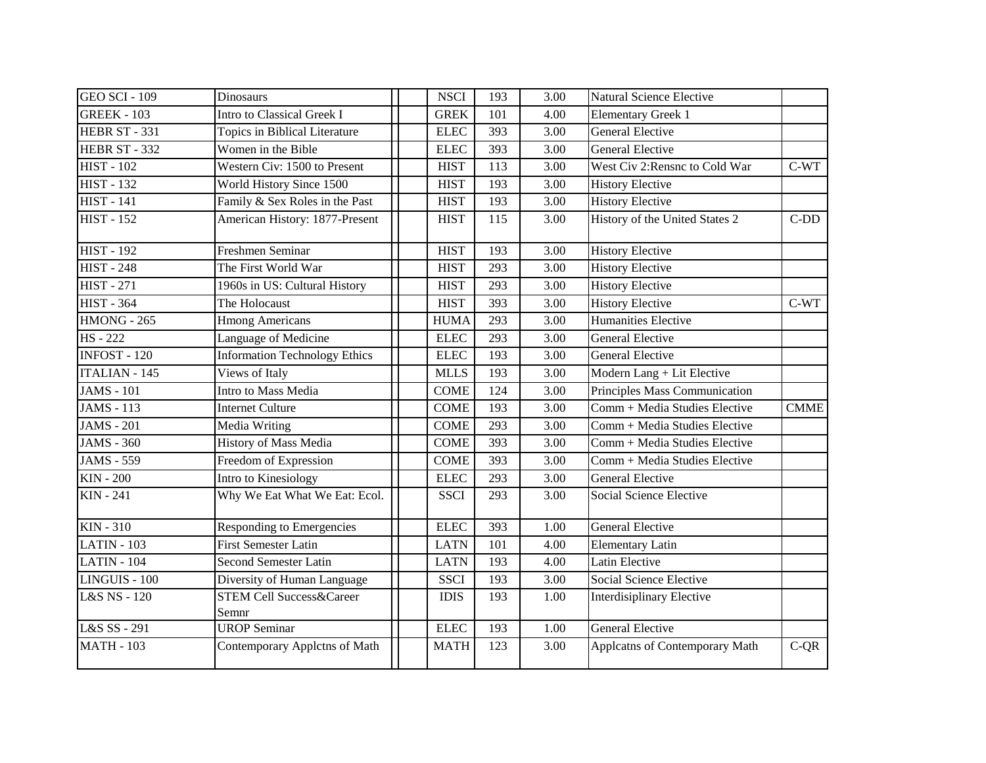| <b>GEO SCI - 109</b> | <b>Dinosaurs</b>                             | <b>NSCI</b> | 193 | 3.00              | Natural Science Elective       |             |
|----------------------|----------------------------------------------|-------------|-----|-------------------|--------------------------------|-------------|
| <b>GREEK - 103</b>   | Intro to Classical Greek I                   | <b>GREK</b> | 101 | 4.00              | <b>Elementary Greek 1</b>      |             |
| HEBR ST - 331        | Topics in Biblical Literature                | <b>ELEC</b> | 393 | 3.00              | <b>General Elective</b>        |             |
| <b>HEBR ST - 332</b> | Women in the Bible                           | <b>ELEC</b> | 393 | 3.00              | <b>General Elective</b>        |             |
| <b>HIST - 102</b>    | Western Civ: 1500 to Present                 | <b>HIST</b> | 113 | 3.00              | West Civ 2: Rensnc to Cold War | C-WT        |
| <b>HIST - 132</b>    | World History Since 1500                     | <b>HIST</b> | 193 | 3.00              | <b>History Elective</b>        |             |
| <b>HIST - 141</b>    | Family & Sex Roles in the Past               | <b>HIST</b> | 193 | 3.00              | <b>History Elective</b>        |             |
| <b>HIST - 152</b>    | American History: 1877-Present               | <b>HIST</b> | 115 | 3.00              | History of the United States 2 | $C-DD$      |
| <b>HIST - 192</b>    | <b>Freshmen Seminar</b>                      | <b>HIST</b> | 193 | $\overline{3.00}$ | <b>History Elective</b>        |             |
| <b>HIST - 248</b>    | The First World War                          | <b>HIST</b> | 293 | 3.00              | <b>History Elective</b>        |             |
| <b>HIST - 271</b>    | 1960s in US: Cultural History                | <b>HIST</b> | 293 | 3.00              | <b>History Elective</b>        |             |
| <b>HIST - 364</b>    | The Holocaust                                | <b>HIST</b> | 393 | 3.00              | <b>History Elective</b>        | C-WT        |
| $HMONG - 265$        | <b>Hmong Americans</b>                       | <b>HUMA</b> | 293 | 3.00              | Humanities Elective            |             |
| <b>HS-222</b>        | Language of Medicine                         | <b>ELEC</b> | 293 | 3.00              | <b>General Elective</b>        |             |
| <b>INFOST - 120</b>  | <b>Information Technology Ethics</b>         | <b>ELEC</b> | 193 | 3.00              | <b>General Elective</b>        |             |
| <b>ITALIAN - 145</b> | Views of Italy                               | <b>MLLS</b> | 193 | 3.00              | Modern Lang + Lit Elective     |             |
| <b>JAMS</b> - 101    | Intro to Mass Media                          | <b>COME</b> | 124 | 3.00              | Principles Mass Communication  |             |
| <b>JAMS</b> - 113    | <b>Internet Culture</b>                      | <b>COME</b> | 193 | 3.00              | Comm + Media Studies Elective  | <b>CMME</b> |
| <b>JAMS</b> - 201    | Media Writing                                | <b>COME</b> | 293 | 3.00              | Comm + Media Studies Elective  |             |
| <b>JAMS - 360</b>    | History of Mass Media                        | <b>COME</b> | 393 | 3.00              | Comm + Media Studies Elective  |             |
| <b>JAMS - 559</b>    | Freedom of Expression                        | <b>COME</b> | 393 | 3.00              | Comm + Media Studies Elective  |             |
| <b>KIN - 200</b>     | Intro to Kinesiology                         | <b>ELEC</b> | 293 | 3.00              | <b>General Elective</b>        |             |
| KIN - 241            | Why We Eat What We Eat: Ecol.                | <b>SSCI</b> | 293 | 3.00              | Social Science Elective        |             |
| <b>KIN - 310</b>     | Responding to Emergencies                    | <b>ELEC</b> | 393 | 1.00              | <b>General Elective</b>        |             |
| $LATIN - 103$        | First Semester Latin                         | <b>LATN</b> | 101 | 4.00              | <b>Elementary Latin</b>        |             |
| <b>LATIN - 104</b>   | <b>Second Semester Latin</b>                 | <b>LATN</b> | 193 | 4.00              | Latin Elective                 |             |
| LINGUIS - 100        | Diversity of Human Language                  | <b>SSCI</b> | 193 | 3.00              | Social Science Elective        |             |
| L&S NS - 120         | <b>STEM Cell Success&amp;Career</b><br>Semnr | <b>IDIS</b> | 193 | 1.00              | Interdisiplinary Elective      |             |
| L&S SS - 291         | <b>UROP</b> Seminar                          | <b>ELEC</b> | 193 | 1.00              | <b>General Elective</b>        |             |
| <b>MATH - 103</b>    | Contemporary Applctns of Math                | <b>MATH</b> | 123 | 3.00              | Applcatns of Contemporary Math | $C-QR$      |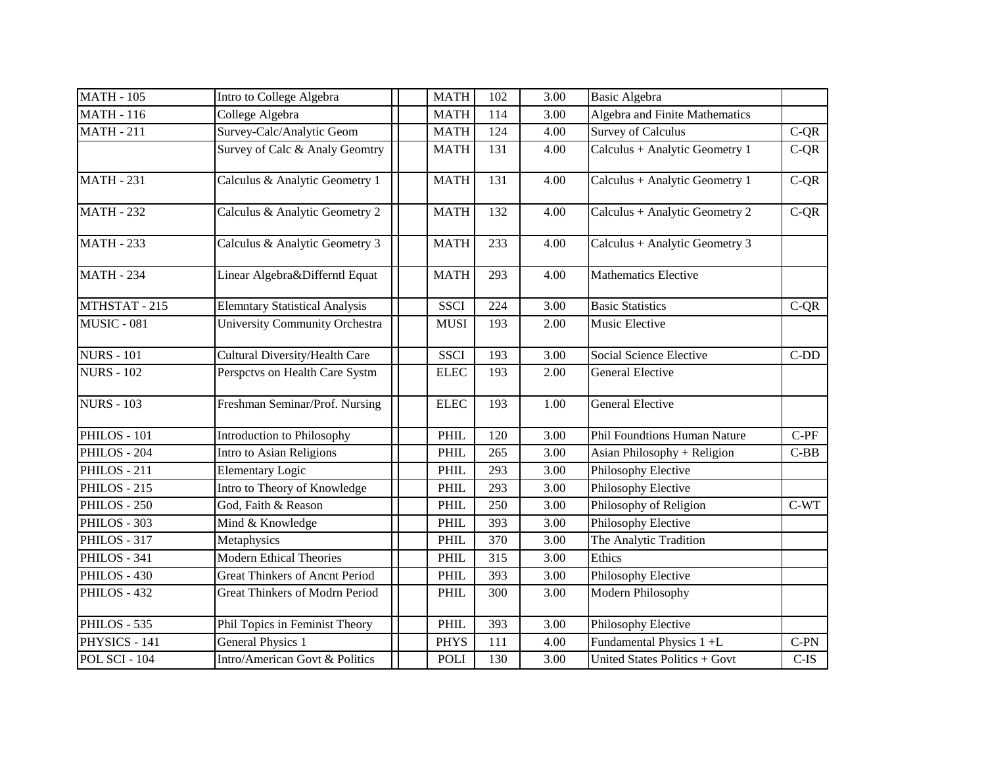| <b>MATH - 105</b>    | Intro to College Algebra              | <b>MATH</b> | 102 | 3.00 | <b>Basic Algebra</b>                |         |
|----------------------|---------------------------------------|-------------|-----|------|-------------------------------------|---------|
| <b>MATH - 116</b>    | College Algebra                       | <b>MATH</b> | 114 | 3.00 | Algebra and Finite Mathematics      |         |
| <b>MATH - 211</b>    | Survey-Calc/Analytic Geom             | <b>MATH</b> | 124 | 4.00 | <b>Survey of Calculus</b>           | $C-QR$  |
|                      | Survey of Calc & Analy Geomtry        | <b>MATH</b> | 131 | 4.00 | Calculus + Analytic Geometry 1      | $C-QR$  |
| <b>MATH - 231</b>    | Calculus & Analytic Geometry 1        | <b>MATH</b> | 131 | 4.00 | Calculus + Analytic Geometry 1      | $C-QR$  |
| <b>MATH - 232</b>    | Calculus & Analytic Geometry 2        | <b>MATH</b> | 132 | 4.00 | Calculus + Analytic Geometry 2      | $C-QR$  |
| <b>MATH - 233</b>    | Calculus & Analytic Geometry 3        | <b>MATH</b> | 233 | 4.00 | $Calculus + Analytic Geometry 3$    |         |
| <b>MATH - 234</b>    | Linear Algebra&Differntl Equat        | <b>MATH</b> | 293 | 4.00 | <b>Mathematics Elective</b>         |         |
| MTHSTAT - 215        | <b>Elemntary Statistical Analysis</b> | <b>SSCI</b> | 224 | 3.00 | <b>Basic Statistics</b>             | $C-QR$  |
| MUSIC - 081          | <b>University Community Orchestra</b> | <b>MUSI</b> | 193 | 2.00 | Music Elective                      |         |
| <b>NURS - 101</b>    | Cultural Diversity/Health Care        | <b>SSCI</b> | 193 | 3.00 | Social Science Elective             | $C-DD$  |
| <b>NURS - 102</b>    | Perspctvs on Health Care Systm        | <b>ELEC</b> | 193 | 2.00 | <b>General Elective</b>             |         |
| <b>NURS - 103</b>    | Freshman Seminar/Prof. Nursing        | <b>ELEC</b> | 193 | 1.00 | <b>General Elective</b>             |         |
| PHILOS - 101         | Introduction to Philosophy            | PHIL        | 120 | 3.00 | <b>Phil Foundtions Human Nature</b> | $C-PF$  |
| PHILOS - 204         | Intro to Asian Religions              | <b>PHIL</b> | 265 | 3.00 | Asian Philosophy + Religion         | $C-BB$  |
| PHILOS - 211         | <b>Elementary Logic</b>               | PHIL        | 293 | 3.00 | Philosophy Elective                 |         |
| PHILOS - 215         | Intro to Theory of Knowledge          | <b>PHIL</b> | 293 | 3.00 | Philosophy Elective                 |         |
| PHILOS - 250         | God, Faith & Reason                   | PHIL        | 250 | 3.00 | Philosophy of Religion              | $C-WT$  |
| PHILOS - 303         | Mind & Knowledge                      | <b>PHIL</b> | 393 | 3.00 | Philosophy Elective                 |         |
| PHILOS - 317         | Metaphysics                           | PHIL        | 370 | 3.00 | The Analytic Tradition              |         |
| PHILOS - 341         | <b>Modern Ethical Theories</b>        | <b>PHIL</b> | 315 | 3.00 | Ethics                              |         |
| PHILOS - 430         | Great Thinkers of Ancnt Period        | PHIL        | 393 | 3.00 | Philosophy Elective                 |         |
| PHILOS - 432         | <b>Great Thinkers of Modrn Period</b> | PHIL        | 300 | 3.00 | Modern Philosophy                   |         |
| PHILOS - 535         | Phil Topics in Feminist Theory        | <b>PHIL</b> | 393 | 3.00 | Philosophy Elective                 |         |
| PHYSICS - 141        | <b>General Physics 1</b>              | <b>PHYS</b> | 111 | 4.00 | Fundamental Physics 1 +L            | $C-PN$  |
| <b>POL SCI - 104</b> | Intro/American Govt & Politics        | <b>POLI</b> | 130 | 3.00 | United States Politics + Govt       | $C$ -IS |